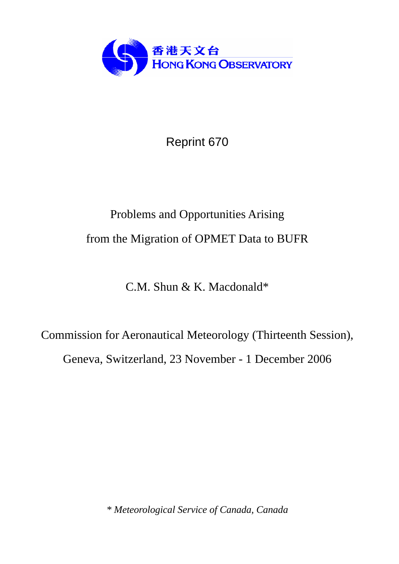

Reprint 670

# Problems and Opportunities Arising from the Migration of OPMET Data to BUFR

C.M. Shun & K. Macdonald\*

Commission for Aeronautical Meteorology (Thirteenth Session), Geneva, Switzerland, 23 November - 1 December 2006

*\* Meteorological Service of Canada, Canada*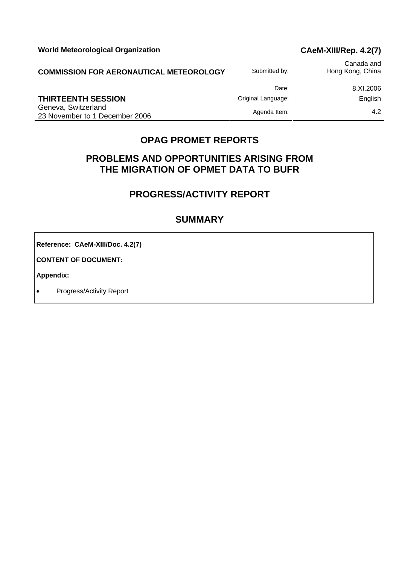World Meteorological Organization **CAEM-XIII/Rep. 4.2(7)** 

| <b>COMMISSION FOR AERONAUTICAL METEOROLOGY</b>        | Submitted by:      | Canada and<br>Hong Kong, China |
|-------------------------------------------------------|--------------------|--------------------------------|
|                                                       | Date:              | 8.XI.2006                      |
| THIRTEENTH SESSION                                    | Original Language: | English                        |
| Geneva, Switzerland<br>23 November to 1 December 2006 | Agenda Item:       | 4.2                            |

# **OPAG PROMET REPORTS**

# **PROBLEMS AND OPPORTUNITIES ARISING FROM THE MIGRATION OF OPMET DATA TO BUFR**

# **PROGRESS/ACTIVITY REPORT**

# **SUMMARY**

**Reference: CAeM-XIII/Doc. 4.2(7)** 

**CONTENT OF DOCUMENT:** 

**Appendix:** 

• Progress/Activity Report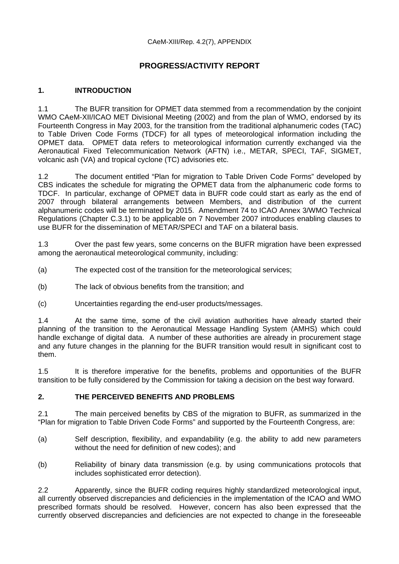# **PROGRESS/ACTIVITY REPORT**

### **1. INTRODUCTION**

1.1 The BUFR transition for OPMET data stemmed from a recommendation by the conjoint WMO CAeM-XII/ICAO MET Divisional Meeting (2002) and from the plan of WMO, endorsed by its Fourteenth Congress in May 2003, for the transition from the traditional alphanumeric codes (TAC) to Table Driven Code Forms (TDCF) for all types of meteorological information including the OPMET data. OPMET data refers to meteorological information currently exchanged via the Aeronautical Fixed Telecommunication Network (AFTN) i.e., METAR, SPECI, TAF, SIGMET, volcanic ash (VA) and tropical cyclone (TC) advisories etc.

1.2 The document entitled "Plan for migration to Table Driven Code Forms" developed by CBS indicates the schedule for migrating the OPMET data from the alphanumeric code forms to TDCF. In particular, exchange of OPMET data in BUFR code could start as early as the end of 2007 through bilateral arrangements between Members, and distribution of the current alphanumeric codes will be terminated by 2015. Amendment 74 to ICAO Annex 3/WMO Technical Regulations (Chapter C.3.1) to be applicable on 7 November 2007 introduces enabling clauses to use BUFR for the dissemination of METAR/SPECI and TAF on a bilateral basis.

1.3 Over the past few years, some concerns on the BUFR migration have been expressed among the aeronautical meteorological community, including:

- (a) The expected cost of the transition for the meteorological services;
- (b) The lack of obvious benefits from the transition; and
- (c) Uncertainties regarding the end-user products/messages.

1.4 At the same time, some of the civil aviation authorities have already started their planning of the transition to the Aeronautical Message Handling System (AMHS) which could handle exchange of digital data. A number of these authorities are already in procurement stage and any future changes in the planning for the BUFR transition would result in significant cost to them.

1.5 It is therefore imperative for the benefits, problems and opportunities of the BUFR transition to be fully considered by the Commission for taking a decision on the best way forward.

#### **2. THE PERCEIVED BENEFITS AND PROBLEMS**

2.1 The main perceived benefits by CBS of the migration to BUFR, as summarized in the "Plan for migration to Table Driven Code Forms" and supported by the Fourteenth Congress, are:

- (a) Self description, flexibility, and expandability (e.g. the ability to add new parameters without the need for definition of new codes); and
- (b) Reliability of binary data transmission (e.g. by using communications protocols that includes sophisticated error detection).

2.2 Apparently, since the BUFR coding requires highly standardized meteorological input, all currently observed discrepancies and deficiencies in the implementation of the ICAO and WMO prescribed formats should be resolved. However, concern has also been expressed that the currently observed discrepancies and deficiencies are not expected to change in the foreseeable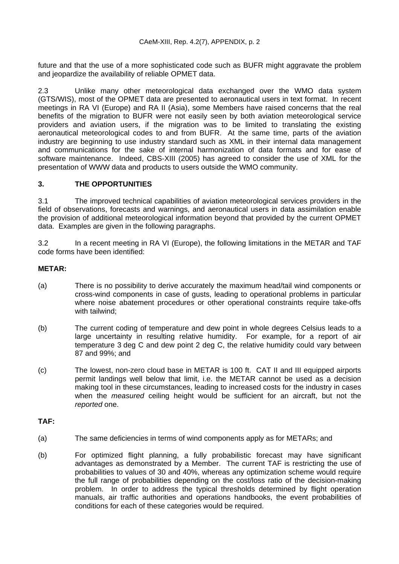future and that the use of a more sophisticated code such as BUFR might aggravate the problem and jeopardize the availability of reliable OPMET data.

2.3 Unlike many other meteorological data exchanged over the WMO data system (GTS/WIS), most of the OPMET data are presented to aeronautical users in text format. In recent meetings in RA VI (Europe) and RA II (Asia), some Members have raised concerns that the real benefits of the migration to BUFR were not easily seen by both aviation meteorological service providers and aviation users, if the migration was to be limited to translating the existing aeronautical meteorological codes to and from BUFR. At the same time, parts of the aviation industry are beginning to use industry standard such as XML in their internal data management and communications for the sake of internal harmonization of data formats and for ease of software maintenance. Indeed, CBS-XIII (2005) has agreed to consider the use of XML for the presentation of WWW data and products to users outside the WMO community.

#### **3. THE OPPORTUNITIES**

3.1 The improved technical capabilities of aviation meteorological services providers in the field of observations, forecasts and warnings, and aeronautical users in data assimilation enable the provision of additional meteorological information beyond that provided by the current OPMET data. Examples are given in the following paragraphs.

3.2 In a recent meeting in RA VI (Europe), the following limitations in the METAR and TAF code forms have been identified:

#### **METAR:**

- (a) There is no possibility to derive accurately the maximum head/tail wind components or cross-wind components in case of gusts, leading to operational problems in particular where noise abatement procedures or other operational constraints require take-offs with tailwind;
- (b) The current coding of temperature and dew point in whole degrees Celsius leads to a large uncertainty in resulting relative humidity. For example, for a report of air temperature 3 deg C and dew point 2 deg C, the relative humidity could vary between 87 and 99%; and
- (c) The lowest, non-zero cloud base in METAR is 100 ft. CAT II and III equipped airports permit landings well below that limit, i.e. the METAR cannot be used as a decision making tool in these circumstances, leading to increased costs for the industry in cases when the *measured* ceiling height would be sufficient for an aircraft, but not the *reported* one.

#### **TAF:**

- (a) The same deficiencies in terms of wind components apply as for METARs; and
- (b) For optimized flight planning, a fully probabilistic forecast may have significant advantages as demonstrated by a Member. The current TAF is restricting the use of probabilities to values of 30 and 40%, whereas any optimization scheme would require the full range of probabilities depending on the cost/loss ratio of the decision-making problem. In order to address the typical thresholds determined by flight operation manuals, air traffic authorities and operations handbooks, the event probabilities of conditions for each of these categories would be required.